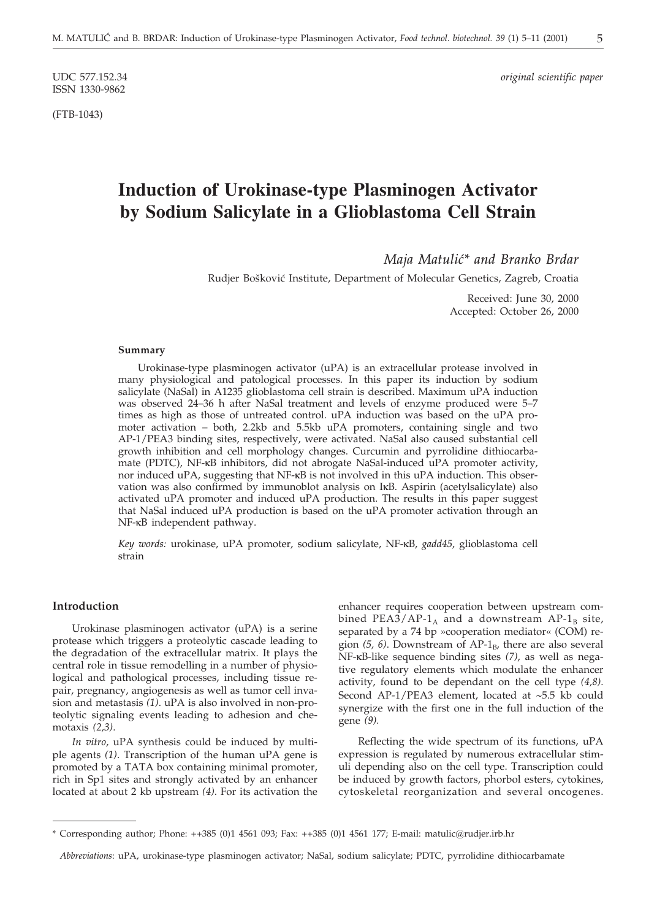ISSN 1330-9862

(FTB-1043)

UDC 577.152.34 *original scientific paper*

# **Induction of Urokinase-type Plasminogen Activator by Sodium Salicylate in a Glioblastoma Cell Strain**

*Maja Matuli}\* and Branko Brdar*

Rudjer Bošković Institute, Department of Molecular Genetics, Zagreb, Croatia

Received: June 30, 2000 Accepted: October 26, 2000

#### **Summary**

Urokinase-type plasminogen activator (uPA) is an extracellular protease involved in many physiological and patological processes. In this paper its induction by sodium salicylate (NaSal) in A1235 glioblastoma cell strain is described. Maximum uPA induction was observed 24–36 h after NaSal treatment and levels of enzyme produced were 5–7 times as high as those of untreated control. uPA induction was based on the uPA promoter activation – both, 2.2kb and 5.5kb uPA promoters, containing single and two AP-1/PEA3 binding sites, respectively, were activated. NaSal also caused substantial cell growth inhibition and cell morphology changes. Curcumin and pyrrolidine dithiocarbamate (PDTC), NF-kB inhibitors, did not abrogate NaSal-induced uPA promoter activity, nor induced uPA, suggesting that NF-kB is not involved in this uPA induction. This observation was also confirmed by immunoblot analysis on IkB. Aspirin (acetylsalicylate) also activated uPA promoter and induced uPA production. The results in this paper suggest that NaSal induced uPA production is based on the uPA promoter activation through an NF-kB independent pathway.

*Key words:* urokinase, uPA promoter, sodium salicylate, NF-kB, *gadd45*, glioblastoma cell strain

#### **Introduction**

Urokinase plasminogen activator (uPA) is a serine protease which triggers a proteolytic cascade leading to the degradation of the extracellular matrix. It plays the central role in tissue remodelling in a number of physiological and pathological processes, including tissue repair, pregnancy, angiogenesis as well as tumor cell invasion and metastasis *(1)*. uPA is also involved in non-proteolytic signaling events leading to adhesion and chemotaxis *(2,3)*.

*In vitro*, uPA synthesis could be induced by multiple agents *(1)*. Transcription of the human uPA gene is promoted by a TATA box containing minimal promoter, rich in Sp1 sites and strongly activated by an enhancer located at about 2 kb upstream *(4)*. For its activation the

enhancer requires cooperation between upstream combined PEA3/AP-1<sub>A</sub> and a downstream AP-1<sub>B</sub> site, separated by a 74 bp »cooperation mediator« (COM) region (5, 6). Downstream of AP-1<sub>B</sub>, there are also several NF-kB-like sequence binding sites *(7)*, as well as negative regulatory elements which modulate the enhancer activity, found to be dependant on the cell type *(4,8)*. Second AP-1/PEA3 element, located at  $~5.5$  kb could synergize with the first one in the full induction of the gene *(9).*

Reflecting the wide spectrum of its functions, uPA expression is regulated by numerous extracellular stimuli depending also on the cell type. Transcription could be induced by growth factors, phorbol esters, cytokines, cytoskeletal reorganization and several oncogenes.

<sup>\*</sup> Corresponding author; Phone: ++385 (0)1 4561 093; Fax: ++385 (0)1 4561 177; E-mail: matulic*@*rudjer.irb.hr

*Abbreviations*: uPA, urokinase-type plasminogen activator; NaSal, sodium salicylate; PDTC, pyrrolidine dithiocarbamate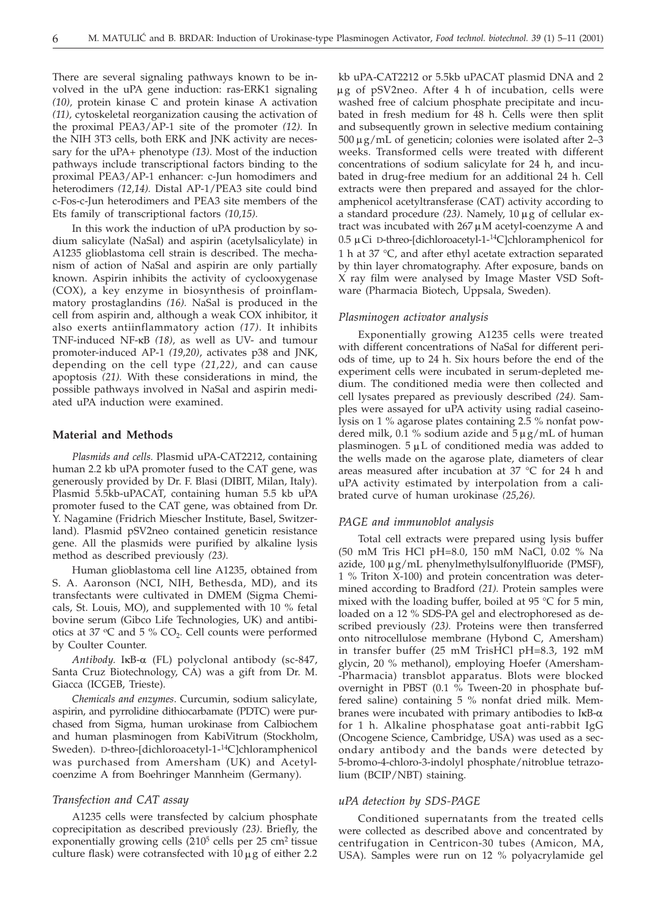There are several signaling pathways known to be involved in the uPA gene induction: ras-ERK1 signaling *(10),* protein kinase C and protein kinase A activation *(11),* cytoskeletal reorganization causing the activation of the proximal PEA3/AP-1 site of the promoter *(12).* In the NIH 3T3 cells, both ERK and JNK activity are necessary for the uPA+ phenotype *(13)*. Most of the induction pathways include transcriptional factors binding to the proximal PEA3/AP-1 enhancer: c-Jun homodimers and heterodimers *(12,14).* Distal AP-1/PEA3 site could bind c-Fos-c-Jun heterodimers and PEA3 site members of the Ets family of transcriptional factors *(10,15).*

In this work the induction of uPA production by sodium salicylate (NaSal) and aspirin (acetylsalicylate) in A1235 glioblastoma cell strain is described. The mechanism of action of NaSal and aspirin are only partially known. Aspirin inhibits the activity of cyclooxygenase (COX), a key enzyme in biosynthesis of proinflammatory prostaglandins *(16).* NaSal is produced in the cell from aspirin and, although a weak COX inhibitor, it also exerts antiinflammatory action *(17)*. It inhibits TNF-induced NF-kB *(18),* as well as UV- and tumour promoter-induced AP-1 *(19,20)*, activates p38 and JNK, depending on the cell type *(21,22),* and can cause apoptosis *(21).* With these considerations in mind, the possible pathways involved in NaSal and aspirin mediated uPA induction were examined.

# **Material and Methods**

*Plasmids and cells.* Plasmid uPA-CAT2212, containing human 2.2 kb uPA promoter fused to the CAT gene, was generously provided by Dr. F. Blasi (DIBIT, Milan, Italy). Plasmid 5.5kb-uPACAT, containing human 5.5 kb uPA promoter fused to the CAT gene, was obtained from Dr. Y. Nagamine (Fridrich Miescher Institute, Basel, Switzerland). Plasmid pSV2neo contained geneticin resistance gene. All the plasmids were purified by alkaline lysis method as described previously *(23).*

Human glioblastoma cell line A1235, obtained from S. A. Aaronson (NCI, NIH, Bethesda, MD), and its transfectants were cultivated in DMEM (Sigma Chemicals, St. Louis, MO), and supplemented with 10 % fetal bovine serum (Gibco Life Technologies, UK) and antibiotics at 37  $\degree$ C and 5 % CO<sub>2</sub>. Cell counts were performed by Coulter Counter.

*Antibody*. IkB-a (FL) polyclonal antibody (sc-847, Santa Cruz Biotechnology, CA) was a gift from Dr. M. Giacca (ICGEB, Trieste).

*Chemicals and enzymes*. Curcumin, sodium salicylate, aspirin, and pyrrolidine dithiocarbamate (PDTC) were purchased from Sigma, human urokinase from Calbiochem and human plasminogen from KabiVitrum (Stockholm, Sweden). D-threo-[dichloroacetyl-1-<sup>14</sup>C]chloramphenicol was purchased from Amersham (UK) and Acetylcoenzime A from Boehringer Mannheim (Germany).

# *Transfection and CAT assay*

A1235 cells were transfected by calcium phosphate coprecipitation as described previously *(23)*. Briefly, the exponentially growing cells  $(210^5 \text{ cells per } 25 \text{ cm}^2 \text{ tissue})$ culture flask) were cotransfected with  $10 \mu$ g of either 2.2

kb uPA-CAT2212 or 5.5kb uPACAT plasmid DNA and 2 µg of pSV2neo. After 4 h of incubation, cells were washed free of calcium phosphate precipitate and incubated in fresh medium for 48 h. Cells were then split and subsequently grown in selective medium containing  $500 \,\mu g/mL$  of geneticin; colonies were isolated after 2–3 weeks. Transformed cells were treated with different concentrations of sodium salicylate for 24 h, and incubated in drug-free medium for an additional 24 h. Cell extracts were then prepared and assayed for the chloramphenicol acetyltransferase (CAT) activity according to a standard procedure  $(23)$ . Namely,  $10 \mu$ g of cellular extract was incubated with  $267 \mu$ M acetyl-coenzyme A and 0.5 µCi D-threo-[dichloroacetyl-1-<sup>14</sup>C]chloramphenicol for 1 h at 37 °C, and after ethyl acetate extraction separated by thin layer chromatography. After exposure, bands on X ray film were analysed by Image Master VSD Software (Pharmacia Biotech, Uppsala, Sweden).

### *Plasminogen activator analysis*

Exponentially growing A1235 cells were treated with different concentrations of NaSal for different periods of time, up to 24 h. Six hours before the end of the experiment cells were incubated in serum-depleted medium. The conditioned media were then collected and cell lysates prepared as previously described *(24).* Samples were assayed for uPA activity using radial caseinolysis on 1 % agarose plates containing 2.5 % nonfat powdered milk, 0.1 % sodium azide and  $5 \mu g/mL$  of human plasminogen.  $5 \mu L$  of conditioned media was added to the wells made on the agarose plate, diameters of clear areas measured after incubation at 37 °C for 24 h and uPA activity estimated by interpolation from a calibrated curve of human urokinase *(25,26).*

# *PAGE and immunoblot analysis*

Total cell extracts were prepared using lysis buffer (50 mM Tris HCl pH=8.0, 150 mM NaCl, 0.02 % Na azide,  $100 \mu g/mL$  phenylmethylsulfonylfluoride (PMSF), 1 % Triton X-100) and protein concentration was determined according to Bradford *(21).* Protein samples were mixed with the loading buffer, boiled at 95 °C for 5 min, loaded on a 12 % SDS-PA gel and electrophoresed as described previously *(23).* Proteins were then transferred onto nitrocellulose membrane (Hybond C, Amersham) in transfer buffer (25 mM TrisHCl pH=8.3, 192 mM glycin, 20 % methanol), employing Hoefer (Amersham- -Pharmacia) transblot apparatus. Blots were blocked overnight in PBST (0.1 % Tween-20 in phosphate buffered saline) containing 5 % nonfat dried milk. Membranes were incubated with primary antibodies to  $I \kappa B$ - $\alpha$ for 1 h. Alkaline phosphatase goat anti-rabbit IgG (Oncogene Science, Cambridge, USA) was used as a secondary antibody and the bands were detected by 5-bromo-4-chloro-3-indolyl phosphate/nitroblue tetrazolium (BCIP/NBT) staining.

### *uPA detection by SDS-PAGE*

Conditioned supernatants from the treated cells were collected as described above and concentrated by centrifugation in Centricon-30 tubes (Amicon, MA, USA). Samples were run on 12 % polyacrylamide gel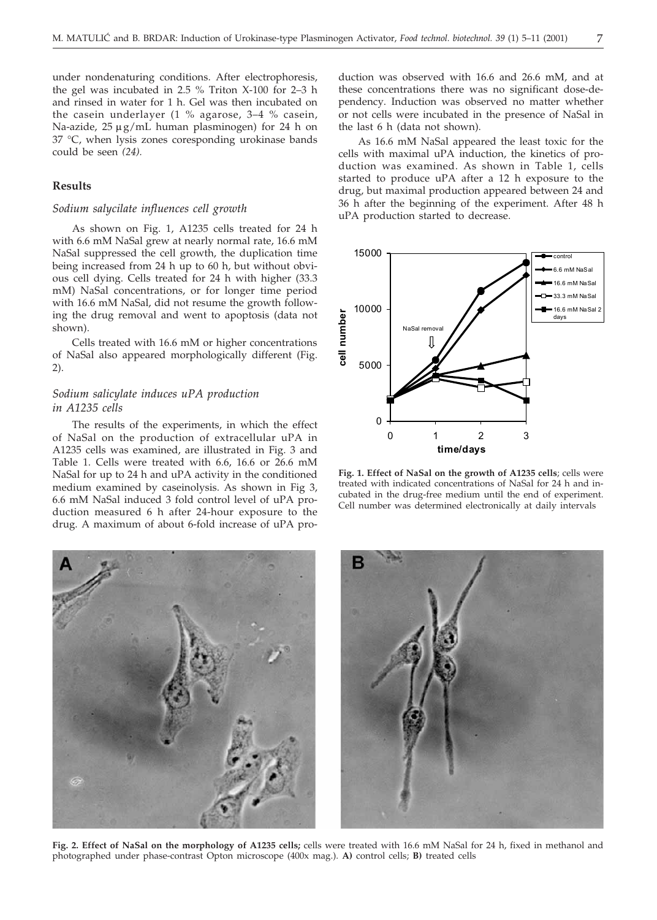under nondenaturing conditions. After electrophoresis, the gel was incubated in 2.5 % Triton X-100 for 2–3 h and rinsed in water for 1 h. Gel was then incubated on the casein underlayer (1 % agarose, 3–4 % casein, Na-azide,  $25 \mu g/mL$  human plasminogen) for 24 h on 37 °C, when lysis zones coresponding urokinase bands could be seen *(24).*

# **Results**

# *Sodium salycilate influences cell growth*

As shown on Fig. 1, A1235 cells treated for 24 h with 6.6 mM NaSal grew at nearly normal rate, 16.6 mM NaSal suppressed the cell growth, the duplication time being increased from 24 h up to 60 h, but without obvious cell dying. Cells treated for 24 h with higher (33.3 mM) NaSal concentrations, or for longer time period with 16.6 mM NaSal, did not resume the growth following the drug removal and went to apoptosis (data not shown).

Cells treated with 16.6 mM or higher concentrations of NaSal also appeared morphologically different (Fig. 2).

# *Sodium salicylate induces uPA production in A1235 cells*

The results of the experiments, in which the effect of NaSal on the production of extracellular uPA in A1235 cells was examined, are illustrated in Fig. 3 and Table 1. Cells were treated with 6.6, 16.6 or 26.6 mM NaSal for up to 24 h and uPA activity in the conditioned medium examined by caseinolysis. As shown in Fig 3, 6.6 mM NaSal induced 3 fold control level of uPA production measured 6 h after 24-hour exposure to the drug. A maximum of about 6-fold increase of uPA production was observed with 16.6 and 26.6 mM, and at these concentrations there was no significant dose-dependency. Induction was observed no matter whether or not cells were incubated in the presence of NaSal in the last 6 h (data not shown).

As 16.6 mM NaSal appeared the least toxic for the cells with maximal uPA induction, the kinetics of production was examined. As shown in Table 1, cells started to produce uPA after a 12 h exposure to the drug, but maximal production appeared between 24 and 36 h after the beginning of the experiment. After 48 h uPA production started to decrease.



**Fig. 1. Effect of NaSal on the growth of A1235 cells**; cells were treated with indicated concentrations of NaSal for 24 h and incubated in the drug-free medium until the end of experiment. Cell number was determined electronically at daily intervals



**Fig. 2. Effect of NaSal on the morphology of A1235 cells;** cells were treated with 16.6 mM NaSal for 24 h, fixed in methanol and photographed under phase-contrast Opton microscope (400x mag.). **A)** control cells; **B)** treated cells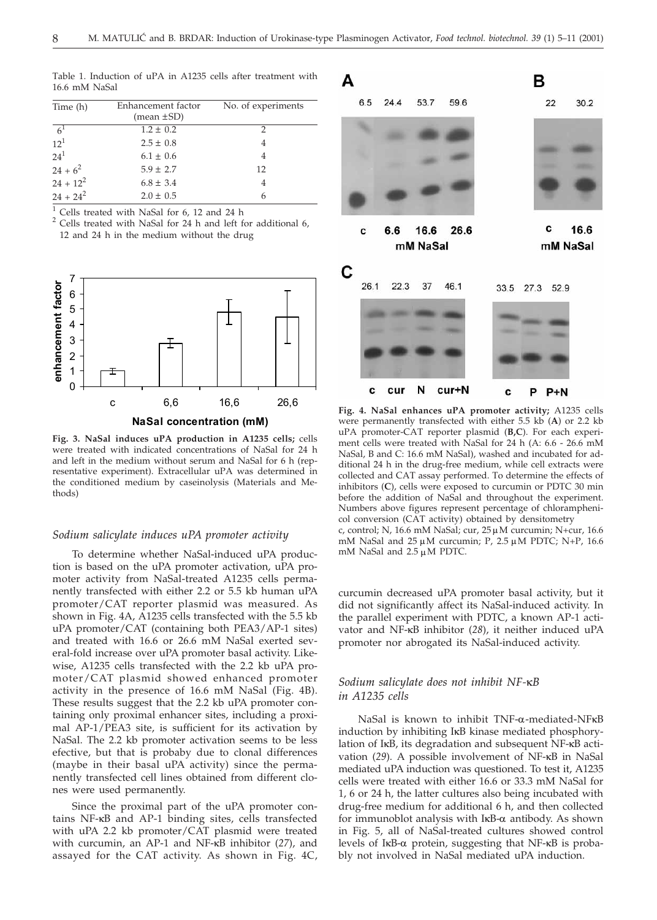Table 1. Induction of uPA in A1235 cells after treatment with 16.6 mM NaSal

| Time (h)    | Enhancement factor<br>$mean \pm SD$ | No. of experiments |
|-------------|-------------------------------------|--------------------|
| $6^1$       | $1.2 \pm 0.2$                       | 2                  |
| $12^{1}$    | $2.5 \pm 0.8$                       |                    |
| $24^{1}$    | $6.1 \pm 0.6$                       | 4                  |
| $24+6^2$    | $5.9 \pm 2.7$                       | 12                 |
| $24 + 12^2$ | $6.8 \pm 3.4$                       |                    |
| $24 + 24^2$ | $2.0 \pm 0.5$                       | 6                  |

<sup>1</sup> Cells treated with NaSal for 6, 12 and 24 h  $^2$  Cells treated with NaSal for 24 h and left for additional 6, 12 and 24 h in the medium without the drug



**NaSal concentration (mM)**

**Fig. 3. NaSal induces uPA production in A1235 cells;** cells were treated with indicated concentrations of NaSal for 24 h and left in the medium without serum and NaSal for 6 h (representative experiment). Extracellular uPA was determined in the conditioned medium by caseinolysis (Materials and Methods)

# *Sodium salicylate induces uPA promoter activity*

To determine whether NaSal-induced uPA production is based on the uPA promoter activation, uPA promoter activity from NaSal-treated A1235 cells permanently transfected with either 2.2 or 5.5 kb human uPA promoter/CAT reporter plasmid was measured. As shown in Fig. 4A, A1235 cells transfected with the 5.5 kb uPA promoter/CAT (containing both PEA3/AP-1 sites) and treated with 16.6 or 26.6 mM NaSal exerted several-fold increase over uPA promoter basal activity. Likewise, A1235 cells transfected with the 2.2 kb uPA promoter/CAT plasmid showed enhanced promoter activity in the presence of 16.6 mM NaSal (Fig. 4B). These results suggest that the 2.2 kb uPA promoter containing only proximal enhancer sites, including a proximal AP-1/PEA3 site, is sufficient for its activation by NaSal. The 2.2 kb promoter activation seems to be less efective, but that is probaby due to clonal differences (maybe in their basal uPA activity) since the permanently transfected cell lines obtained from different clones were used permanently.

Since the proximal part of the uPA promoter contains NF-kB and AP-1 binding sites, cells transfected with uPA 2.2 kb promoter/CAT plasmid were treated with curcumin, an AP-1 and NF-kB inhibitor (*27*), and assayed for the CAT activity. As shown in Fig. 4C,



**Fig. 4. NaSal enhances uPA promoter activity;** A1235 cells were permanently transfected with either 5.5 kb (**A**) or 2.2 kb uPA promoter-CAT reporter plasmid (**B,C**). For each experiment cells were treated with NaSal for 24 h (A: 6.6 - 26.6 mM NaSal, B and C: 16.6 mM NaSal), washed and incubated for additional 24 h in the drug-free medium, while cell extracts were collected and CAT assay performed. To determine the effects of inhibitors (**C**), cells were exposed to curcumin or PDTC 30 min before the addition of NaSal and throughout the experiment. Numbers above figures represent percentage of chloramphenicol conversion (CAT activity) obtained by densitometry c, control; N, 16.6 mM NaSal; cur,  $25 \mu$ M curcumin; N+cur, 16.6 mM NaSal and  $25 \mu$ M curcumin; P,  $2.5 \mu$ M PDTC; N+P, 16.6 mM NaSal and 2.5  $\mu$ M PDTC.

curcumin decreased uPA promoter basal activity, but it did not significantly affect its NaSal-induced activity. In the parallel experiment with PDTC, a known AP-1 activator and NF-kB inhibitor (*28*), it neither induced uPA promoter nor abrogated its NaSal-induced activity.

# *Sodium salicylate does not inhibit NF-*k*B in A1235 cells*

NaSal is known to inhibit TNF-a-mediated-NFkB induction by inhibiting IkB kinase mediated phosphorylation of IkB, its degradation and subsequent NF-kB activation (*29*). A possible involvement of NF-kB in NaSal mediated uPA induction was questioned. To test it, A1235 cells were treated with either 16.6 or 33.3 mM NaSal for 1, 6 or 24 h, the latter cultures also being incubated with drug-free medium for additional 6 h, and then collected for immunoblot analysis with  $I\kappa B$ - $\alpha$  antibody. As shown in Fig. 5, all of NaSal-treated cultures showed control levels of IkB-a protein, suggesting that NF-kB is probably not involved in NaSal mediated uPA induction.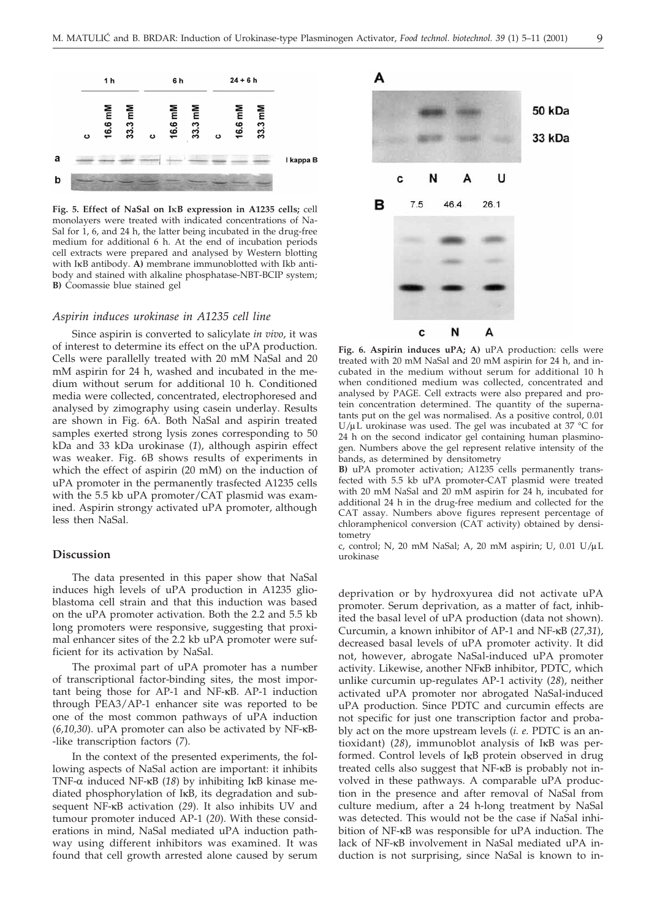

**Fig. 5. Effect of NaSal on I**k**B expression in A1235 cells;** cell monolayers were treated with indicated concentrations of Na-Sal for 1, 6, and 24 h, the latter being incubated in the drug-free medium for additional 6 h. At the end of incubation periods cell extracts were prepared and analysed by Western blotting with IkB antibody. **A)** membrane immunoblotted with Ikb antibody and stained with alkaline phosphatase-NBT-BCIP system; **B)** Coomassie blue stained gel

#### *Aspirin induces urokinase in A1235 cell line*

Since aspirin is converted to salicylate *in vivo*, it was of interest to determine its effect on the uPA production. Cells were parallelly treated with 20 mM NaSal and 20 mM aspirin for 24 h, washed and incubated in the medium without serum for additional 10 h. Conditioned media were collected, concentrated, electrophoresed and analysed by zimography using casein underlay. Results are shown in Fig. 6A. Both NaSal and aspirin treated samples exerted strong lysis zones corresponding to 50 kDa and 33 kDa urokinase (*1*), although aspirin effect was weaker. Fig. 6B shows results of experiments in which the effect of aspirin (20 mM) on the induction of uPA promoter in the permanently trasfected A1235 cells with the 5.5 kb uPA promoter/CAT plasmid was examined. Aspirin strongy activated uPA promoter, although less then NaSal.

## **Discussion**

The data presented in this paper show that NaSal induces high levels of uPA production in A1235 glioblastoma cell strain and that this induction was based on the uPA promoter activation. Both the 2.2 and 5.5 kb long promoters were responsive, suggesting that proximal enhancer sites of the 2.2 kb uPA promoter were sufficient for its activation by NaSal.

The proximal part of uPA promoter has a number of transcriptional factor-binding sites, the most important being those for AP-1 and NF-kB. AP-1 induction through PEA3/AP-1 enhancer site was reported to be one of the most common pathways of uPA induction (*6,10,30*). uPA promoter can also be activated by NF-kB- -like transcription factors (*7*).

In the context of the presented experiments, the following aspects of NaSal action are important: it inhibits TNF- $\alpha$  induced NF- $\kappa$ B (18) by inhibiting I $\kappa$ B kinase mediated phosphorylation of IkB, its degradation and subsequent NF-kB activation (*29*). It also inhibits UV and tumour promoter induced AP-1 (*20*). With these considerations in mind, NaSal mediated uPA induction pathway using different inhibitors was examined. It was found that cell growth arrested alone caused by serum



**Fig. 6. Aspirin induces uPA; A)** uPA production: cells were treated with 20 mM NaSal and 20 mM aspirin for 24 h, and incubated in the medium without serum for additional 10 h when conditioned medium was collected, concentrated and analysed by PAGE. Cell extracts were also prepared and protein concentration determined. The quantity of the supernatants put on the gel was normalised. As a positive control, 0.01 U/ $\mu$ L urokinase was used. The gel was incubated at 37 °C for 24 h on the second indicator gel containing human plasminogen. Numbers above the gel represent relative intensity of the bands, as determined by densitometry

**B)** uPA promoter activation; A1235 cells permanently transfected with 5.5 kb uPA promoter-CAT plasmid were treated with 20 mM NaSal and 20 mM aspirin for 24 h, incubated for additional 24 h in the drug-free medium and collected for the CAT assay. Numbers above figures represent percentage of chloramphenicol conversion (CAT activity) obtained by densitometry

c, control; N, 20 mM NaSal; A, 20 mM aspirin; U, 0.01  $U/\mu L$ urokinase

deprivation or by hydroxyurea did not activate uPA promoter. Serum deprivation, as a matter of fact, inhibited the basal level of uPA production (data not shown). Curcumin, a known inhibitor of AP-1 and NF-kB (*27,31*), decreased basal levels of uPA promoter activity. It did not, however, abrogate NaSal-induced uPA promoter activity. Likewise, another NFkB inhibitor, PDTC, which unlike curcumin up-regulates AP-1 activity (*28*), neither activated uPA promoter nor abrogated NaSal-induced uPA production. Since PDTC and curcumin effects are not specific for just one transcription factor and probably act on the more upstream levels (*i. e*. PDTC is an antioxidant) (*28*), immunoblot analysis of IkB was performed. Control levels of IkB protein observed in drug treated cells also suggest that NF-kB is probably not involved in these pathways. A comparable uPA production in the presence and after removal of NaSal from culture medium, after a 24 h-long treatment by NaSal was detected. This would not be the case if NaSal inhibition of NF-kB was responsible for uPA induction. The lack of NF-kB involvement in NaSal mediated uPA induction is not surprising, since NaSal is known to in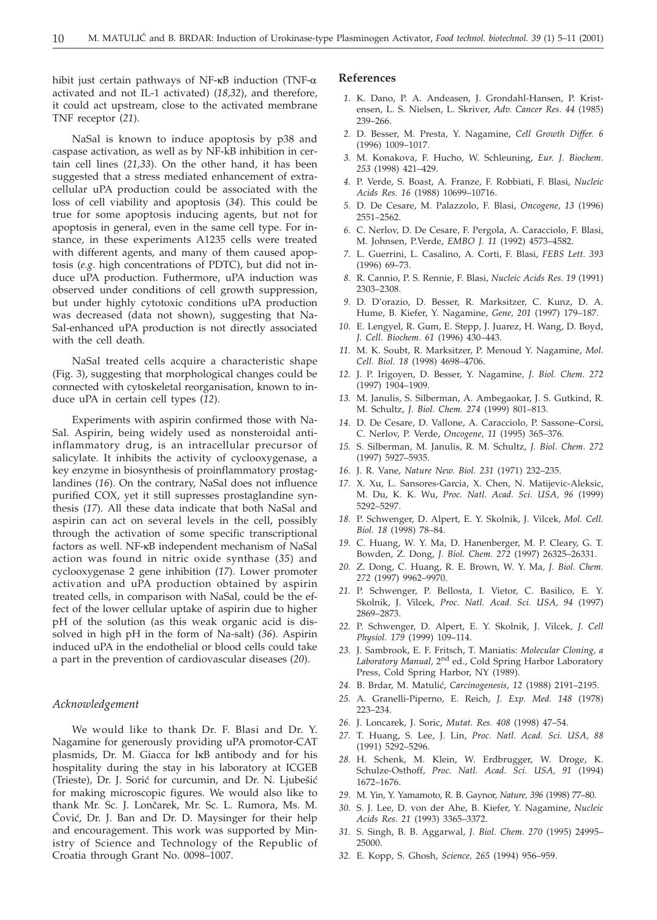hibit just certain pathways of NF- $\kappa$ B induction (TNF- $\alpha$ activated and not IL-1 activated) (*18,32*), and therefore, it could act upstream, close to the activated membrane TNF receptor (*21*).

NaSal is known to induce apoptosis by p38 and caspase activation, as well as by NF-kB inhibition in certain cell lines (*21,33*). On the other hand, it has been suggested that a stress mediated enhancement of extracellular uPA production could be associated with the loss of cell viability and apoptosis (*34*). This could be true for some apoptosis inducing agents, but not for apoptosis in general, even in the same cell type. For instance, in these experiments A1235 cells were treated with different agents, and many of them caused apoptosis (*e.g*. high concentrations of PDTC), but did not induce uPA production. Futhermore, uPA induction was observed under conditions of cell growth suppression, but under highly cytotoxic conditions uPA production was decreased (data not shown), suggesting that Na-Sal-enhanced uPA production is not directly associated with the cell death.

NaSal treated cells acquire a characteristic shape (Fig. 3), suggesting that morphological changes could be connected with cytoskeletal reorganisation, known to induce uPA in certain cell types (*12*).

Experiments with aspirin confirmed those with Na-Sal. Aspirin, being widely used as nonsteroidal antiinflammatory drug, is an intracellular precursor of salicylate. It inhibits the activity of cyclooxygenase, a key enzyme in biosynthesis of proinflammatory prostaglandines (*16*). On the contrary, NaSal does not influence purified COX, yet it still supresses prostaglandine synthesis (*17*). All these data indicate that both NaSal and aspirin can act on several levels in the cell, possibly through the activation of some specific transcriptional factors as well. NF-kB independent mechanism of NaSal action was found in nitric oxide synthase (*35*) and cyclooxygenase 2 gene inhibition (*17*). Lower promoter activation and uPA production obtained by aspirin treated cells, in comparison with NaSal, could be the effect of the lower cellular uptake of aspirin due to higher pH of the solution (as this weak organic acid is dissolved in high pH in the form of Na-salt) (*36*). Aspirin induced uPA in the endothelial or blood cells could take a part in the prevention of cardiovascular diseases (*20*).

#### *Acknowledgement*

We would like to thank Dr. F. Blasi and Dr. Y. Nagamine for generously providing uPA promotor-CAT plasmids, Dr. M. Giacca for IkB antibody and for his hospitality during the stay in his laboratory at ICGEB (Trieste), Dr. J. Sorić for curcumin, and Dr. N. Ljubešić for making microscopic figures. We would also like to thank Mr. Sc. J. Lončarek, Mr. Sc. L. Rumora, Ms. M. Cović, Dr. J. Ban and Dr. D. Maysinger for their help and encouragement. This work was supported by Ministry of Science and Technology of the Republic of Croatia through Grant No. 0098–1007.

### **References**

- *1.* K. Dano, P. A. Andeasen, J. Grondahl-Hansen, P. Kristensen, L. S. Nielsen, L. Skriver, *Adv. Cancer Res. 44* (1985) 239–266.
- *2.* D. Besser, M. Presta, Y. Nagamine, *Cell Growth Differ. 6* (1996) 1009–1017.
- *3.* M. Konakova, F. Hucho, W. Schleuning, *Eur. J. Biochem. 253* (1998) 421–429.
- *4.* P. Verde, S. Boast, A. Franze, F. Robbiati, F. Blasi, *Nucleic Acids Res. 16* (1988) 10699–10716.
- *5.* D. De Cesare, M. Palazzolo, F. Blasi, *Oncogene, 13* (1996) 2551–2562.
- *6.* C. Nerlov, D. De Cesare, F. Pergola, A. Caracciolo, F. Blasi, M. Johnsen, P.Verde, *EMBO J. 11* (1992) 4573–4582.
- *7.* L. Guerrini, L. Casalino, A. Corti, F. Blasi, *FEBS Lett. 393* (1996) 69–73.
- *8.* R. Cannio, P. S. Rennie, F. Blasi, *Nucleic Acids Res. 19* (1991) 2303–2308.
- *9.* D. D'orazio, D. Besser, R. Marksitzer, C. Kunz, D. A. Hume, B. Kiefer, Y. Nagamine, *Gene, 201* (1997) 179–187.
- *10.* E. Lengyel, R. Gum, E. Stepp, J. Juarez, H. Wang, D. Boyd, *J. Cell. Biochem. 61* (1996) 430–443.
- *11.* M. K. Soubt, R. Marksitzer, P. Menoud Y. Nagamine, *Mol. Cell. Biol. 18* (1998) 4698–4706.
- *12.* J. P. Irigoyen, D. Besser, Y. Nagamine, *J. Biol. Chem. 272* (1997) 1904–1909.
- *13.* M. Janulis, S. Silberman, A. Ambegaokar, J. S. Gutkind, R. M. Schultz, *J. Biol. Chem. 274* (1999) 801–813.
- *14.* D. De Cesare, D. Vallone, A. Caracciolo, P. Sassone–Corsi, C. Nerlov, P. Verde, *Oncogene, 11* (1995) 365–376.
- *15.* S. Silberman, M. Janulis, R. M. Schultz, *J. Biol. Chem. 272* (1997) 5927–5935.
- *16.* J. R. Vane, *Nature New. Biol. 231* (1971) 232–235.
- *17.* X. Xu, L. Sansores-Garcia, X. Chen, N. Matijevic-Aleksic, M. Du, K. K. Wu, *Proc. Natl. Acad. Sci. USA, 96* (1999) 5292–5297.
- *18.* P. Schwenger, D. Alpert, E. Y. Skolnik, J. Vilcek, *Mol. Cell. Biol. 18* (1998) 78–84.
- *19.* C. Huang, W. Y. Ma, D. Hanenberger, M. P. Cleary, G. T. Bowden, Z. Dong, *J. Biol. Chem. 272* (1997) 26325–26331.
- *20.* Z. Dong, C. Huang, R. E. Brown, W. Y. Ma, *J. Biol. Chem. 272* (1997) 9962–9970.
- *21.* P. Schwenger, P. Bellosta, I. Vietor, C. Basilico, E. Y. Skolnik, J. Vilcek, *Proc. Natl. Acad. Sci. USA, 94* (1997) 2869–2873.
- *22.* P. Schwenger, D. Alpert, E. Y. Skolnik, J. Vilcek, *J. Cell Physiol. 179* (1999) 109–114.
- *23.* J. Sambrook, E. F. Fritsch, T. Maniatis: *Molecular Cloning, a Laboratory Manual,* 2nd ed., Cold Spring Harbor Laboratory Press, Cold Spring Harbor, NY (1989).
- *24.* B. Brdar, M. Matuli}, *Carcinogenesis, 12* (1988) 2191–2195.
- *25.* A. Granelli-Piperno, E. Reich, *J. Exp. Med. 148* (1978) 223–234.
- *26.* J. Loncarek, J. Soric, *Mutat. Res. 408* (1998) 47–54.
- *27.* T. Huang, S. Lee, J. Lin, *Proc. Natl. Acad. Sci. USA, 88* (1991) 5292–5296.
- *28.* H. Schenk, M. Klein, W. Erdbrugger, W. Droge, K. Schulze-Osthoff, *Proc. Natl. Acad. Sci. USA, 91* (1994) 1672–1676.
- *29.* M. Yin, Y. Yamamoto, R. B. Gaynor, *Nature, 396* (1998) 77–80.
- *30.* S. J. Lee, D. von der Ahe, B. Kiefer, Y. Nagamine, *Nucleic Acids Res. 21* (1993) 3365–3372.
- *31.* S. Singh, B. B. Aggarwal, *J. Biol. Chem. 270* (1995) 24995– 25000.
- *32.* E. Kopp, S. Ghosh, *Science, 265* (1994) 956–959.